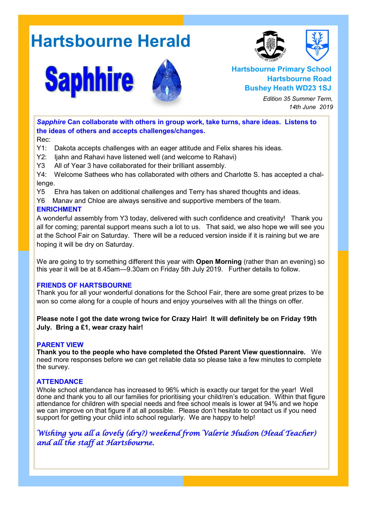# **Hartsbourne Herald**

**Saphhire** 





**Hartsbourne Primary School Hartsbourne Road Bushey Heath WD23 1SJ**

> *Edition 35 Summer Term, 14th June 2019*

*Sapphire* **Can collaborate with others in group work, take turns, share ideas. Listens to the ideas of others and accepts challenges/changes.** Rec:

Y1: Dakota accepts challenges with an eager attitude and Felix shares his ideas.

Y2: Ijahn and Rahavi have listened well (and welcome to Rahavi)

Y3 All of Year 3 have collaborated for their brilliant assembly.

Y4: Welcome Sathees who has collaborated with others and Charlotte S. has accepted a challenge.

Y5 Ehra has taken on additional challenges and Terry has shared thoughts and ideas.

Y6 Manav and Chloe are always sensitive and supportive members of the team.

#### **ENRICHMENT**

A wonderful assembly from Y3 today, delivered with such confidence and creativity! Thank you all for coming; parental support means such a lot to us. That said, we also hope we will see you at the School Fair on Saturday. There will be a reduced version inside if it is raining but we are hoping it will be dry on Saturday.

We are going to try something different this year with **Open Morning** (rather than an evening) so this year it will be at 8.45am—9.30am on Friday 5th July 2019. Further details to follow.

#### **FRIENDS OF HARTSBOURNE**

Thank you for all your wonderful donations for the School Fair, there are some great prizes to be won so come along for a couple of hours and enjoy yourselves with all the things on offer.

**Please note I got the date wrong twice for Crazy Hair! It will definitely be on Friday 19th July. Bring a £1, wear crazy hair!** 

#### **PARENT VIEW**

**Thank you to the people who have completed the Ofsted Parent View questionnaire.** We need more responses before we can get reliable data so please take a few minutes to complete the survey.

#### **ATTENDANCE**

Whole school attendance has increased to 96% which is exactly our target for the year! Well done and thank you to all our families for prioritising your child/ren's education. Within that figure attendance for children with special needs and free school meals is lower at 94% and we hope we can improve on that figure if at all possible. Please don't hesitate to contact us if you need support for getting your child into school regularly. We are happy to help!

*Wishing you all a lovely (dry?) weekend from Valerie Hudson (Head Teacher) and all the staff at Hartsbourne.*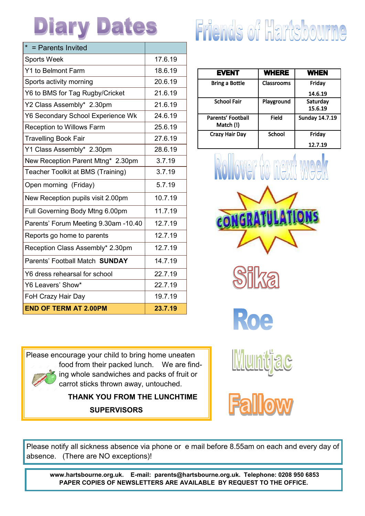# **Diary Dates**

| $*$ = Parents Invited                |         |
|--------------------------------------|---------|
| <b>Sports Week</b>                   | 17.6.19 |
| Y1 to Belmont Farm                   | 18.6.19 |
| Sports activity morning              | 20.6.19 |
| Y6 to BMS for Tag Rugby/Cricket      | 21.6.19 |
| Y2 Class Assembly* 2.30pm            | 21.6.19 |
| Y6 Secondary School Experience Wk    | 24.6.19 |
| <b>Reception to Willows Farm</b>     | 25.6.19 |
| <b>Travelling Book Fair</b>          | 27.6.19 |
| Y1 Class Assembly* 2.30pm            | 28.6.19 |
| New Reception Parent Mtng* 2.30pm    | 3.7.19  |
| Teacher Toolkit at BMS (Training)    | 3.7.19  |
| Open morning (Friday)                | 5.7.19  |
| New Reception pupils visit 2.00pm    | 10.7.19 |
| Full Governing Body Mtng 6.00pm      | 11.7.19 |
| Parents' Forum Meeting 9.30am -10.40 | 12.7.19 |
| Reports go home to parents           | 12.7.19 |
| Reception Class Assembly* 2.30pm     | 12.7.19 |
| Parents' Football Match SUNDAY       | 14.7.19 |
| Y6 dress rehearsal for school        | 22.7.19 |
| Y6 Leavers' Show*                    | 22.7.19 |
| FoH Crazy Hair Day                   | 19.7.19 |
| <b>END OF TERM AT 2.00PM</b>         | 23.7.19 |

# **Friends of Hartsbourne**

| <b>EVENT</b>                   | <b>WHERE</b> | <b>WHEN</b>           |
|--------------------------------|--------------|-----------------------|
| <b>Bring a Bottle</b>          | Classrooms   | Friday                |
|                                |              | 14.6.19               |
| <b>School Fair</b>             | Playground   | Saturday              |
|                                |              | 15.6.19               |
| Parents' Football<br>Match (!) | Field        | <b>Sunday 14.7.19</b> |
| Crazy Hair Day                 | School       | Fridav                |
|                                |              | 12.7.19               |







**Muntiac** 

Please encourage your child to bring home uneaten food from their packed lunch. We are finding whole sandwiches and packs of fruit or carrot sticks thrown away, untouched.

> **THANK YOU FROM THE LUNCHTIME SUPERVISORS**

Please notify all sickness absence via phone or e mail before 8.55am on each and every day of absence. (There are NO exceptions)!

**www.hartsbourne.org.uk. E-mail: parents@hartsbourne.org.uk. Telephone: 0208 950 6853 PAPER COPIES OF NEWSLETTERS ARE AVAILABLE BY REQUEST TO THE OFFICE.**